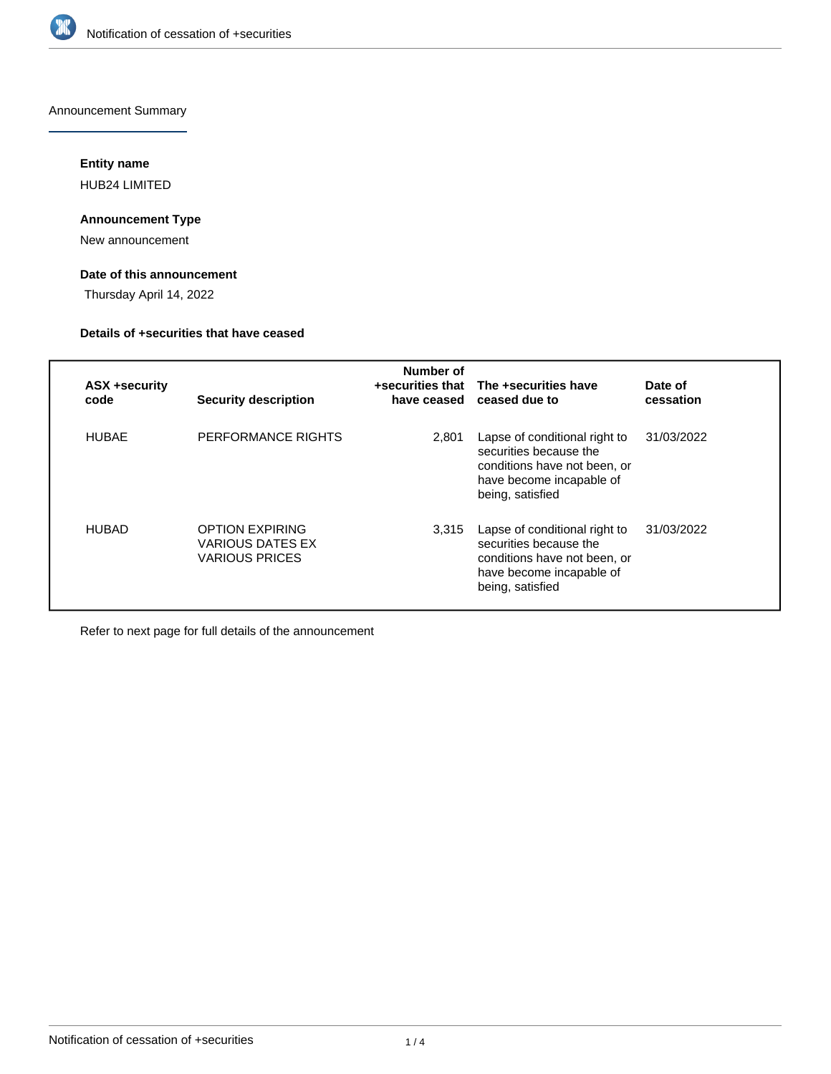

Announcement Summary

# **Entity name**

HUB24 LIMITED

## **Announcement Type**

New announcement

# **Date of this announcement**

Thursday April 14, 2022

## **Details of +securities that have ceased**

| <b>ASX +security</b><br>code | <b>Security description</b>                                         | Number of<br>have ceased | +securities that The +securities have<br>ceased due to                                                                                  | Date of<br>cessation |
|------------------------------|---------------------------------------------------------------------|--------------------------|-----------------------------------------------------------------------------------------------------------------------------------------|----------------------|
| <b>HUBAF</b>                 | PERFORMANCE RIGHTS                                                  | 2.801                    | Lapse of conditional right to<br>securities because the<br>conditions have not been, or<br>have become incapable of<br>being, satisfied | 31/03/2022           |
| <b>HUBAD</b>                 | <b>OPTION EXPIRING</b><br>VARIOUS DATES EX<br><b>VARIOUS PRICES</b> | 3.315                    | Lapse of conditional right to<br>securities because the<br>conditions have not been, or<br>have become incapable of<br>being, satisfied | 31/03/2022           |

Refer to next page for full details of the announcement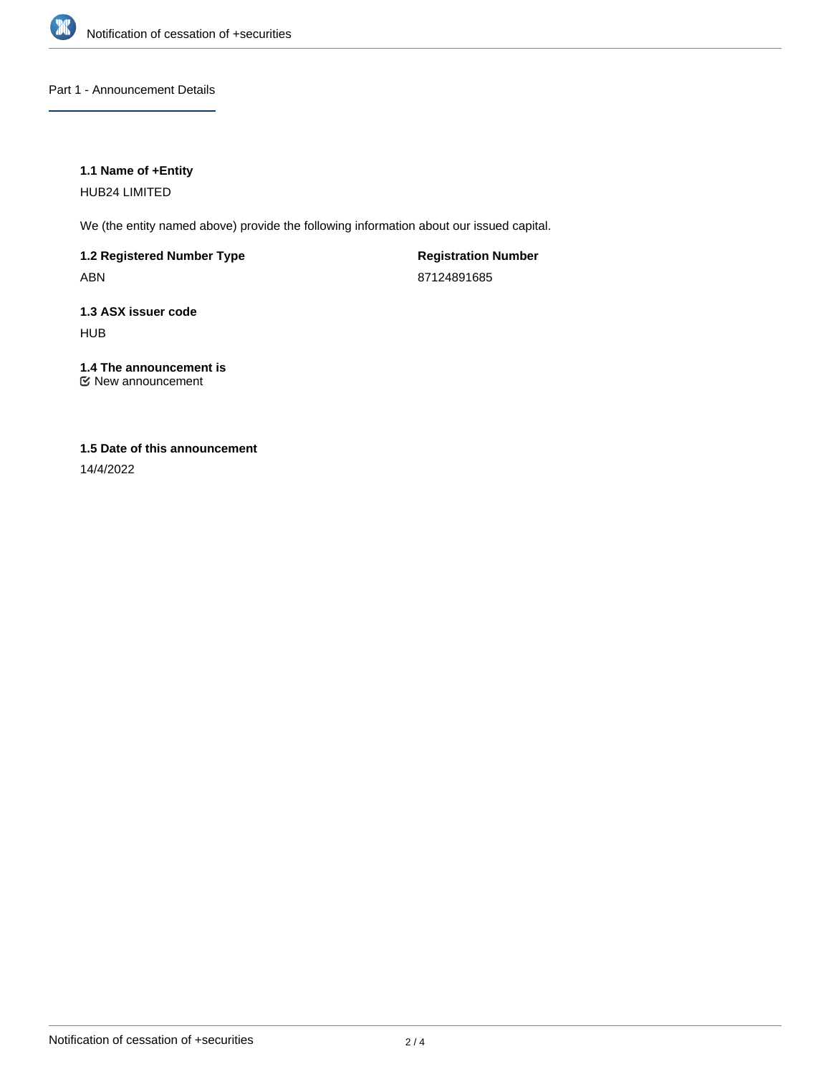

Part 1 - Announcement Details

## **1.1 Name of +Entity**

HUB24 LIMITED

We (the entity named above) provide the following information about our issued capital.

**1.2 Registered Number Type** ABN

**Registration Number** 87124891685

**1.3 ASX issuer code** HUB

**1.4 The announcement is** New announcement

# **1.5 Date of this announcement**

14/4/2022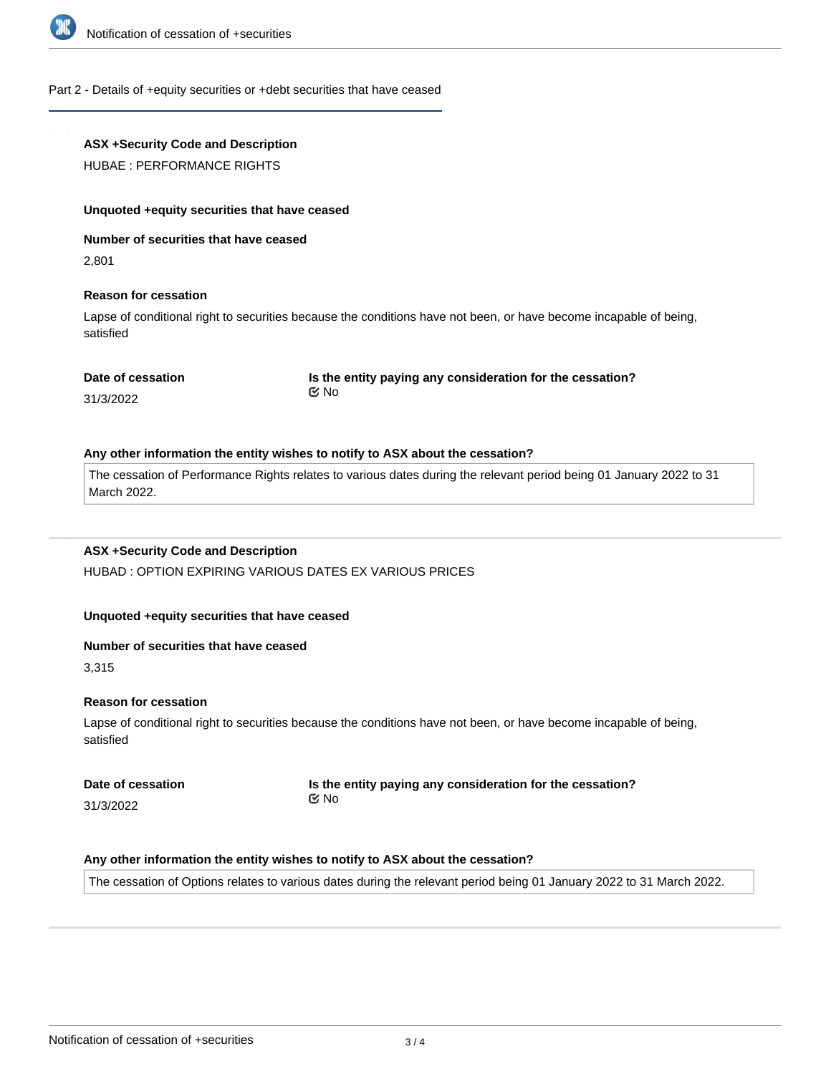

### Part 2 - Details of +equity securities or +debt securities that have ceased

## **ASX +Security Code and Description**

HUBAE : PERFORMANCE RIGHTS

#### **Unquoted +equity securities that have ceased**

**Number of securities that have ceased**

2,801

### **Reason for cessation**

Lapse of conditional right to securities because the conditions have not been, or have become incapable of being, satisfied

### **Date of cessation**

**Is the entity paying any consideration for the cessation?** No

31/3/2022

#### **Any other information the entity wishes to notify to ASX about the cessation?**

The cessation of Performance Rights relates to various dates during the relevant period being 01 January 2022 to 31 March 2022.

### **ASX +Security Code and Description**

HUBAD : OPTION EXPIRING VARIOUS DATES EX VARIOUS PRICES

### **Unquoted +equity securities that have ceased**

#### **Number of securities that have ceased**

3,315

### **Reason for cessation**

Lapse of conditional right to securities because the conditions have not been, or have become incapable of being, satisfied

**Date of cessation** 31/3/2022

**Is the entity paying any consideration for the cessation?** No

### **Any other information the entity wishes to notify to ASX about the cessation?**

The cessation of Options relates to various dates during the relevant period being 01 January 2022 to 31 March 2022.